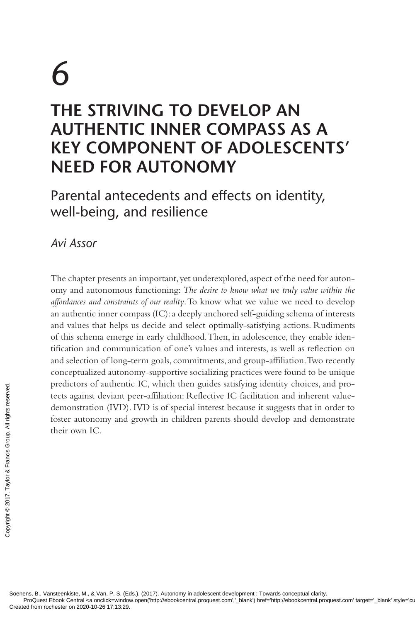# 6 **THE STRIVING TO DEVELOP AN AUTHENTIC INNER COMPASS AS A KEY COMPONENT OF ADOLESCENTS' NEED FOR AUTONOMY**

Parental antecedents and effects on identity, well-being, and resilience

*Avi Assor*

The chapter presents an important, yet underexplored, aspect of the need for autonomy and autonomous functioning: *The desire to know what we truly value within the affordances and constraints of our reality*. To know what we value we need to develop an authentic inner compass (IC): a deeply anchored self-guiding schema of interests and values that helps us decide and select optimally-satisfying actions. Rudiments of this schema emerge in early childhood. Then, in adolescence, they enable identification and communication of one's values and interests, as well as reflection on and selection of long-term goals, commitments, and group-affiliation. Two recently conceptualized autonomy-supportive socializing practices were found to be unique predictors of authentic IC, which then guides satisfying identity choices, and protects against deviant peer-affiliation: Reflective IC facilitation and inherent valuedemonstration (IVD). IVD is of special interest because it suggests that in order to foster autonomy and growth in children parents should develop and demonstrate their own IC. Predictors or authentiffed from the created from rochester on 2020-10-26 17:13:29.<br>
Soenens, B., Vansteenkiste, M., & Van, P. S. (Encyclopediated from rochester on 2020-10-26 17:13:29.

ProQuest Ebook Central <a onclick=window.open('http://ebookcentral.proquest.com','\_blank') href='http://ebookcentral.proquest.com' target='\_blank' style='cursor: pointer;'/\ebookcentral.proquest.com/ target='\_blank' style=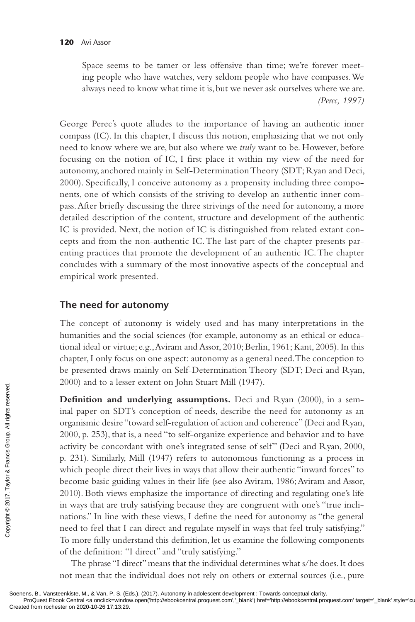Space seems to be tamer or less offensive than time; we're forever meeting people who have watches, very seldom people who have compasses. We always need to know what time it is, but we never ask ourselves where we are. *(Perec, 1997)*

George Perec's quote alludes to the importance of having an authentic inner compass (IC). In this chapter, I discuss this notion, emphasizing that we not only need to know where we are, but also where we *truly* want to be. However, before focusing on the notion of IC, I first place it within my view of the need for autonomy, anchored mainly in Self-Determination Theory (SDT; Ryan and Deci, 2000). Specifically, I conceive autonomy as a propensity including three components, one of which consists of the striving to develop an authentic inner compass. After briefly discussing the three strivings of the need for autonomy, a more detailed description of the content, structure and development of the authentic IC is provided. Next, the notion of IC is distinguished from related extant concepts and from the non-authentic IC. The last part of the chapter presents parenting practices that promote the development of an authentic IC. The chapter concludes with a summary of the most innovative aspects of the conceptual and empirical work presented.

#### **The need for autonomy**

The concept of autonomy is widely used and has many interpretations in the humanities and the social sciences (for example, autonomy as an ethical or educational ideal or virtue; e.g., Aviram and Assor, 2010; Berlin, 1961; Kant, 2005). In this chapter, I only focus on one aspect: autonomy as a general need. The conception to be presented draws mainly on Self-Determination Theory (SDT; Deci and Ryan, 2000) and to a lesser extent on John Stuart Mill (1947).

**Definition and underlying assumptions.** Deci and Ryan (2000), in a seminal paper on SDT's conception of needs, describe the need for autonomy as an organismic desire "toward self-regulation of action and coherence" (Deci and Ryan, 2000, p. 253), that is, a need "to self-organize experience and behavior and to have activity be concordant with one's integrated sense of self" (Deci and Ryan, 2000, p. 231). Similarly, Mill (1947) refers to autonomous functioning as a process in which people direct their lives in ways that allow their authentic "inward forces" to become basic guiding values in their life (see also Aviram, 1986; Aviram and Assor, 2010). Both views emphasize the importance of directing and regulating one's life in ways that are truly satisfying because they are congruent with one's "true inclinations." In line with these views, I define the need for autonomy as "the general need to feel that I can direct and regulate myself in ways that feel truly satisfying." To more fully understand this definition, let us examine the following components of the definition: "I direct" and "truly satisfying." Created from rochester on 2020-10-26 17:13:29.<br>Created from rochester on 2020-10-26 17:13:29.<br>Created from rochester on 2020-10-26 17:13:29.<br>Created from rochester on 2020-10-26 17:13:29.<br>Created from rochester on 2020-10

The phrase "I direct" means that the individual determines what s/he does. It does not mean that the individual does not rely on others or external sources (i.e., pure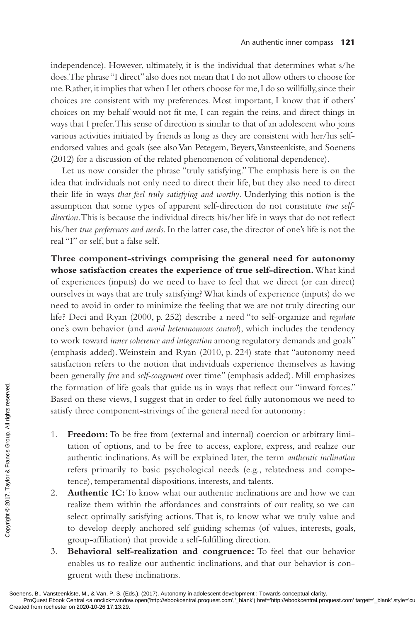independence). However, ultimately, it is the individual that determines what s/he does. The phrase "I direct" also does not mean that I do not allow others to choose for me. Rather, it implies that when I let others choose for me, I do so willfully, since their choices are consistent with my preferences. Most important, I know that if others' choices on my behalf would not fit me, I can regain the reins, and direct things in ways that I prefer. This sense of direction is similar to that of an adolescent who joins various activities initiated by friends as long as they are consistent with her/his selfendorsed values and goals (see also Van Petegem, Beyers, Vansteenkiste, and Soenens (2012) for a discussion of the related phenomenon of volitional dependence).

Let us now consider the phrase "truly satisfying." The emphasis here is on the idea that individuals not only need to direct their life, but they also need to direct their life in ways *that feel truly satisfying and worthy*. Underlying this notion is the assumption that some types of apparent self-direction do not constitute *true selfdirection*. This is because the individual directs his/her life in ways that do not reflect his/her *true preferences and needs*. In the latter case, the director of one's life is not the real "I" or self, but a false self.

**Three component-strivings comprising the general need for autonomy whose satisfaction creates the experience of true self-direction.** What kind of experiences (inputs) do we need to have to feel that we direct (or can direct) ourselves in ways that are truly satisfying? What kinds of experience (inputs) do we need to avoid in order to minimize the feeling that we are not truly directing our life? Deci and Ryan (2000, p. 252) describe a need "to self-organize and *regulate* one's own behavior (and *avoid heteronomous control*), which includes the tendency to work toward *inner coherence and integration* among regulatory demands and goals" (emphasis added). Weinstein and Ryan (2010, p. 224) state that "autonomy need satisfaction refers to the notion that individuals experience themselves as having been generally *free* and *self-congruent* over time" (emphasis added). Mill emphasizes the formation of life goals that guide us in ways that reflect our "inward forces." Based on these views, I suggest that in order to feel fully autonomous we need to satisfy three component-strivings of the general need for autonomy:

- 1. **Freedom:** To be free from (external and internal) coercion or arbitrary limitation of options, and to be free to access, explore, express, and realize our authentic inclinations. As will be explained later, the term *authentic inclination* refers primarily to basic psychological needs (e.g., relatedness and competence), temperamental dispositions, interests, and talents.
- 2. **Authentic IC:** To know what our authentic inclinations are and how we can realize them within the affordances and constraints of our reality, so we can select optimally satisfying actions. That is, to know what we truly value and to develop deeply anchored self-guiding schemas (of values, interests, goals, group-affiliation) that provide a self-fulfilling direction. The formation of life<br>
Based on these views<br>
satisfy three compone<br>
satisfy three compone<br>
satisfy three compone<br>
tation of options<br>
authentic inclina<br>
refers primarily<br>
tence), temperam<br>
2. **Authentic IC: 7**<br>
realize the
	- 3. **Behavioral self-realization and congruence:** To feel that our behavior enables us to realize our authentic inclinations, and that our behavior is congruent with these inclinations.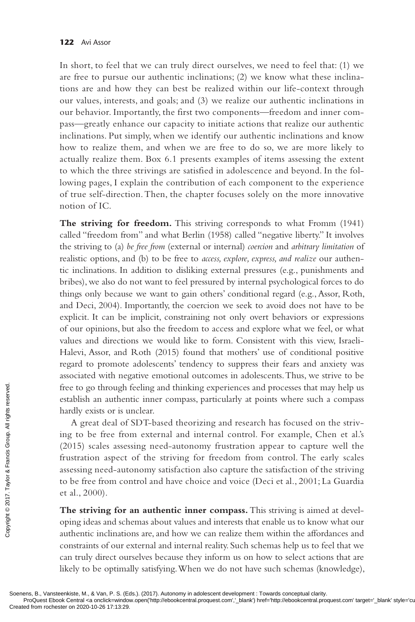In short, to feel that we can truly direct ourselves, we need to feel that: (1) we are free to pursue our authentic inclinations; (2) we know what these inclinations are and how they can best be realized within our life-context through our values, interests, and goals; and (3) we realize our authentic inclinations in our behavior. Importantly, the first two components—freedom and inner compass—greatly enhance our capacity to initiate actions that realize our authentic inclinations. Put simply, when we identify our authentic inclinations and know how to realize them, and when we are free to do so, we are more likely to actually realize them. Box 6.1 presents examples of items assessing the extent to which the three strivings are satisfied in adolescence and beyond. In the following pages, I explain the contribution of each component to the experience of true self-direction. Then, the chapter focuses solely on the more innovative notion of IC.

**The striving for freedom.** This striving corresponds to what Fromm (1941) called "freedom from" and what Berlin (1958) called "negative liberty." It involves the striving to (a) *be free from* (external or internal) *coercion* and *arbitrary limitation* of realistic options, and (b) to be free to *access, explore, express, and realize* our authentic inclinations. In addition to disliking external pressures (e.g., punishments and bribes), we also do not want to feel pressured by internal psychological forces to do things only because we want to gain others' conditional regard (e.g., Assor, Roth, and Deci, 2004). Importantly, the coercion we seek to avoid does not have to be explicit. It can be implicit, constraining not only overt behaviors or expressions of our opinions, but also the freedom to access and explore what we feel, or what values and directions we would like to form. Consistent with this view, Israeli-Halevi, Assor, and Roth (2015) found that mothers' use of conditional positive regard to promote adolescents' tendency to suppress their fears and anxiety was associated with negative emotional outcomes in adolescents. Thus, we strive to be free to go through feeling and thinking experiences and processes that may help us establish an authentic inner compass, particularly at points where such a compass hardly exists or is unclear.

A great deal of SDT-based theorizing and research has focused on the striving to be free from external and internal control. For example, Chen et al.'s (2015) scales assessing need-autonomy frustration appear to capture well the frustration aspect of the striving for freedom from control. The early scales assessing need-autonomy satisfaction also capture the satisfaction of the striving to be free from control and have choice and voice (Deci et al., 2001; La Guardia et al., 2000). Free to go through<br>
establish an authen<br>
hardly exists or is u<br>
for a great deal of<br>
ing to be free from<br>
(2015) scales assess<br>
frustration aspect<br>
assessing need-auth<br>
to be free from con<br>
et al., 2000).<br> **The striving f** 

**The striving for an authentic inner compass.** This striving is aimed at developing ideas and schemas about values and interests that enable us to know what our authentic inclinations are, and how we can realize them within the affordances and constraints of our external and internal reality. Such schemas help us to feel that we can truly direct ourselves because they inform us on how to select actions that are likely to be optimally satisfying. When we do not have such schemas (knowledge),

ProQuest Ebook Central <a onclick=window.open('http://ebookcentral.proquest.com','\_blank') href='http://ebookcentral.proquest.com' target='\_blank' style='cursor: pointer;'/ebookcentral.proquest.com' target='\_blank' style='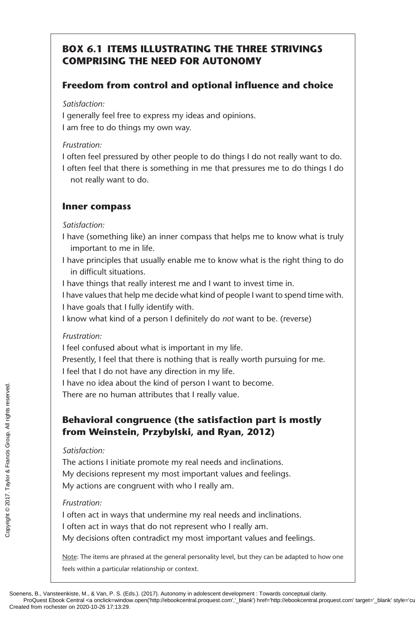# **BOX 6.1 ITEMS ILLUSTRATING THE THREE STRIVINGS COMPRISING THE NEED FOR AUTONOMY**

## **Freedom from control and optional influence and choice**

*Satisfaction:*

I generally feel free to express my ideas and opinions. I am free to do things my own way.

#### *Frustration:*

I often feel pressured by other people to do things I do not really want to do. I often feel that there is something in me that pressures me to do things I do not really want to do.

#### **Inner compass**

*Satisfaction:*

- I have (something like) an inner compass that helps me to know what is truly important to me in life.
- I have principles that usually enable me to know what is the right thing to do in difficult situations.
- I have things that really interest me and I want to invest time in.
- I have values that help me decide what kind of people I want to spend time with. I have goals that I fully identify with.
- I know what kind of a person I definitely do *not* want to be. (reverse)

#### *Frustration:*

I feel confused about what is important in my life.

Presently, I feel that there is nothing that is really worth pursuing for me.

I feel that I do not have any direction in my life.

I have no idea about the kind of person I want to become.

There are no human attributes that I really value.

## **Behavioral congruence (the satisfaction part is mostly from Weinstein, Przybylski, and Ryan, 2012)**

#### *Satisfaction:*

The actions I initiate promote my real needs and inclinations. My decisions represent my most important values and feelings. My actions are congruent with who I really am. The created from **Created from Weinstein**<br>  $\frac{1}{2}$ <br> **Created from Weinstein**<br>
Statisfaction:<br>
The actions I initiat<br>
My decisions repre<br>
My actions are con<br>
Frustration:<br>
I often act in ways<br>
I often act in ways<br>
My dec

#### *Frustration:*

I often act in ways that undermine my real needs and inclinations. I often act in ways that do not represent who I really am. My decisions often contradict my most important values and feelings.

Note: The items are phrased at the general personality level, but they can be adapted to how one feels within a particular relationship or context.

Soenens, B., Vansteenkiste, M., & Van, P. S. (Eds.). (2017). Autonomy in adolescent development : Towards conceptual clarity.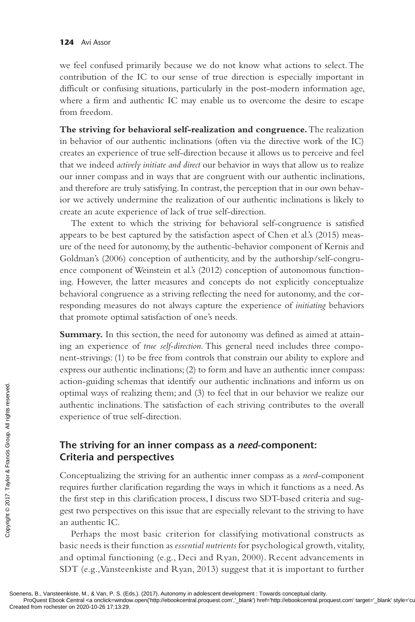we feel confused primarily because we do not know what actions to select. The contribution of the IC to our sense of true direction is especially important in difficult or confusing situations, particularly in the post-modern information age, where a firm and authentic IC may enable us to overcome the desire to escape from freedom.

**The striving for behavioral self-realization and congruence.** The realization in behavior of our authentic inclinations (often via the directive work of the IC) creates an experience of true self-direction because it allows us to perceive and feel that we indeed *actively initiate and direct* our behavior in ways that allow us to realize our inner compass and in ways that are congruent with our authentic inclinations, and therefore are truly satisfying. In contrast, the perception that in our own behavior we actively undermine the realization of our authentic inclinations is likely to create an acute experience of lack of true self-direction.

The extent to which the striving for behavioral self-congruence is satisfied appears to be best captured by the satisfaction aspect of Chen et al.'s (2015) measure of the need for autonomy, by the authentic-behavior component of Kernis and Goldman's (2006) conception of authenticity, and by the authorship/self-congruence component of Weinstein et al.'s (2012) conception of autonomous functioning. However, the latter measures and concepts do not explicitly conceptualize behavioral congruence as a striving reflecting the need for autonomy, and the corresponding measures do not always capture the experience of *initiating* behaviors that promote optimal satisfaction of one's needs.

Summary. In this section, the need for autonomy was defined as aimed at attaining an experience of *true self-direction*. This general need includes three component-strivings: (1) to be free from controls that constrain our ability to explore and express our authentic inclinations; (2) to form and have an authentic inner compass: action-guiding schemas that identify our authentic inclinations and inform us on optimal ways of realizing them; and (3) to feel that in our behavior we realize our authentic inclinations. The satisfaction of each striving contributes to the overall experience of true self-direction.

## **The striving for an inner compass as a** *need***-component: Criteria and perspectives**

Conceptualizing the striving for an authentic inner compass as a *need*-component requires further clarification regarding the ways in which it functions as a need. As the first step in this clarification process, I discuss two SDT-based criteria and suggest two perspectives on this issue that are especially relevant to the striving to have an authentic IC. Example the striving for criteria and performed and performed the striving for Criteria and performed the first step in this gest two perspective and underlined the first step in this gest two perspective and underlined th

Perhaps the most basic criterion for classifying motivational constructs as basic needs is their function as *essential nutrients* for psychological growth, vitality, and optimal functioning (e.g., Deci and Ryan, 2000). Recent advancements in SDT (e.g., Vansteenkiste and Ryan, 2013) suggest that it is important to further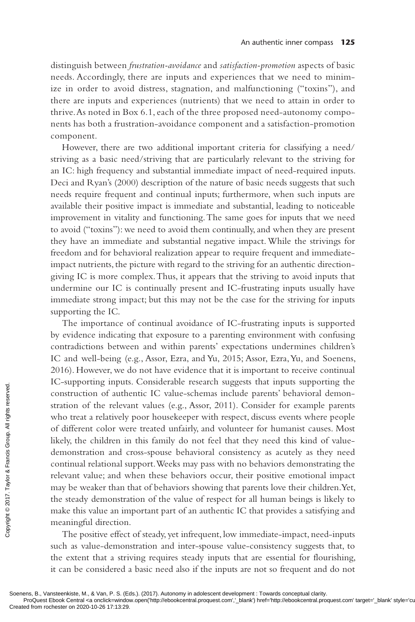distinguish between *frustration-avoidance* and *satisfaction-promotion* aspects of basic needs. Accordingly, there are inputs and experiences that we need to minimize in order to avoid distress, stagnation, and malfunctioning ("toxins"), and there are inputs and experiences (nutrients) that we need to attain in order to thrive. As noted in Box 6.1, each of the three proposed need-autonomy components has both a frustration-avoidance component and a satisfaction-promotion component.

However, there are two additional important criteria for classifying a need/ striving as a basic need/striving that are particularly relevant to the striving for an IC: high frequency and substantial immediate impact of need-required inputs. Deci and Ryan's (2000) description of the nature of basic needs suggests that such needs require frequent and continual inputs; furthermore, when such inputs are available their positive impact is immediate and substantial, leading to noticeable improvement in vitality and functioning. The same goes for inputs that we need to avoid ("toxins"): we need to avoid them continually, and when they are present they have an immediate and substantial negative impact. While the strivings for freedom and for behavioral realization appear to require frequent and immediateimpact nutrients, the picture with regard to the striving for an authentic directiongiving IC is more complex. Thus, it appears that the striving to avoid inputs that undermine our IC is continually present and IC-frustrating inputs usually have immediate strong impact; but this may not be the case for the striving for inputs supporting the IC.

The importance of continual avoidance of IC-frustrating inputs is supported by evidence indicating that exposure to a parenting environment with confusing contradictions between and within parents' expectations undermines children's IC and well-being (e.g., Assor, Ezra, and Yu, 2015; Assor, Ezra, Yu, and Soenens, 2016). However, we do not have evidence that it is important to receive continual IC-supporting inputs. Considerable research suggests that inputs supporting the construction of authentic IC value-schemas include parents' behavioral demonstration of the relevant values (e.g., Assor, 2011). Consider for example parents who treat a relatively poor housekeeper with respect, discuss events where people of different color were treated unfairly, and volunteer for humanist causes. Most likely, the children in this family do not feel that they need this kind of valuedemonstration and cross-spouse behavioral consistency as acutely as they need continual relational support. Weeks may pass with no behaviors demonstrating the relevant value; and when these behaviors occur, their positive emotional impact may be weaker than that of behaviors showing that parents love their children. Yet, the steady demonstration of the value of respect for all human beings is likely to make this value an important part of an authentic IC that provides a satisfying and meaningful direction. Example the startion of the relevant stration of the relevant value of different color we likely, the children in demonstration and continual relational state of continual relational state of continual relational state of

The positive effect of steady, yet infrequent, low immediate-impact, need-inputs such as value-demonstration and inter-spouse value-consistency suggests that, to the extent that a striving requires steady inputs that are essential for flourishing, it can be considered a basic need also if the inputs are not so frequent and do not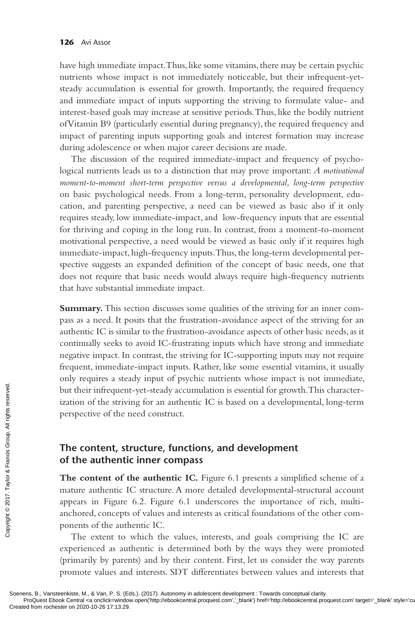have high immediate impact. Thus, like some vitamins, there may be certain psychic nutrients whose impact is not immediately noticeable, but their infrequent-yetsteady accumulation is essential for growth. Importantly, the required frequency and immediate impact of inputs supporting the striving to formulate value- and interest-based goals may increase at sensitive periods. Thus, like the bodily nutrient of Vitamin B9 (particularly essential during pregnancy), the required frequency and impact of parenting inputs supporting goals and interest formation may increase during adolescence or when major career decisions are made.

The discussion of the required immediate-impact and frequency of psychological nutrients leads us to a distinction that may prove important: *A motivational moment-to-moment short-term perspective versus a developmental, long-term perspective* on basic psychological needs. From a long-term, personality development, education, and parenting perspective, a need can be viewed as basic also if it only requires steady, low immediate-impact, and low-frequency inputs that are essential for thriving and coping in the long run. In contrast, from a moment-to-moment motivational perspective, a need would be viewed as basic only if it requires high immediate-impact, high-frequency inputs. Thus, the long-term developmental perspective suggests an expanded definition of the concept of basic needs, one that does not require that basic needs would always require high-frequency nutrients that have substantial immediate impact.

**Summary.** This section discusses some qualities of the striving for an inner compass as a need. It posits that the frustration-avoidance aspect of the striving for an authentic IC is similar to the frustration-avoidance aspects of other basic needs, as it continually seeks to avoid IC-frustrating inputs which have strong and immediate negative impact. In contrast, the striving for IC-supporting inputs may not require frequent, immediate-impact inputs. Rather, like some essential vitamins, it usually only requires a steady input of psychic nutrients whose impact is not immediate, but their infrequent-yet-steady accumulation is essential for growth. This characterization of the striving for an authentic IC is based on a developmental, long-term perspective of the need construct.

#### **The content, structure, functions, and development of the authentic inner compass**

The content of the authentic IC. Figure 6.1 presents a simplified scheme of a mature authentic IC structure. A more detailed developmental-structural account appears in Figure 6.2. Figure 6.1 underscores the importance of rich, multianchored, concepts of values and interests as critical foundations of the other components of the authentic IC. From the strive of the striving perspective of the striving perspective of the reserved.<br> **Creation of the authentic I**<br> **Creation of the authentic I**<br> **Creation Creation**<br> **Creation Copyright Creation Copyright Creatio** 

The extent to which the values, interests, and goals comprising the IC are experienced as authentic is determined both by the ways they were promoted (primarily by parents) and by their content. First, let us consider the way parents promote values and interests. SDT differentiates between values and interests that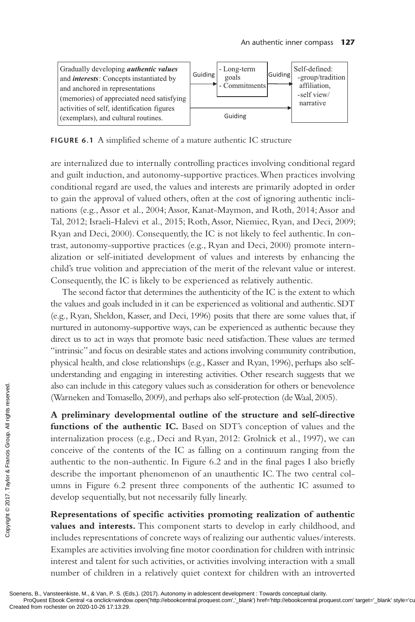

**FIGURE 6.1** A simplified scheme of a mature authentic IC structure

are internalized due to internally controlling practices involving conditional regard and guilt induction, and autonomy-supportive practices. When practices involving conditional regard are used, the values and interests are primarily adopted in order to gain the approval of valued others, often at the cost of ignoring authentic inclinations (e.g., Assor et al., 2004; Assor, Kanat-Maymon, and Roth, 2014; Assor and Tal, 2012; Israeli-Halevi et al., 2015; Roth, Assor, Niemiec, Ryan, and Deci, 2009; Ryan and Deci, 2000). Consequently, the IC is not likely to feel authentic. In contrast, autonomy-supportive practices (e.g., Ryan and Deci, 2000) promote internalization or self-initiated development of values and interests by enhancing the child's true volition and appreciation of the merit of the relevant value or interest. Consequently, the IC is likely to be experienced as relatively authentic.

The second factor that determines the authenticity of the IC is the extent to which the values and goals included in it can be experienced as volitional and authentic. SDT (e.g., Ryan, Sheldon, Kasser, and Deci, 1996) posits that there are some values that, if nurtured in autonomy-supportive ways, can be experienced as authentic because they direct us to act in ways that promote basic need satisfaction. These values are termed "intrinsic" and focus on desirable states and actions involving community contribution, physical health, and close relationships (e.g., Kasser and Ryan, 1996), perhaps also selfunderstanding and engaging in interesting activities. Other research suggests that we also can include in this category values such as consideration for others or benevolence (Warneken and Tomasello, 2009), and perhaps also self-protection (de Waal, 2005).

**A preliminary developmental outline of the structure and self-directive functions of the authentic IC.** Based on SDT's conception of values and the internalization process (e.g., Deci and Ryan, 2012: Grolnick et al., 1997), we can conceive of the contents of the IC as falling on a continuum ranging from the authentic to the non-authentic. In Figure 6.2 and in the final pages I also briefly describe the important phenomenon of an unauthentic IC. The two central columns in Figure 6.2 present three components of the authentic IC assumed to develop sequentially, but not necessarily fully linearly. Best and Tomass<br>
CREAT A **preliminary developed and Tomass**<br>  $\overline{z}$  **creating functions of the audinter**<br>  $\overline{z}$  internalization proces<br>
conceive of the cont<br>
authentic to the non-<br>
describe the importal<br>
umns in Figu

**Representations of specific activities promoting realization of authentic values and interests.** This component starts to develop in early childhood, and includes representations of concrete ways of realizing our authentic values/interests. Examples are activities involving fine motor coordination for children with intrinsic interest and talent for such activities, or activities involving interaction with a small number of children in a relatively quiet context for children with an introverted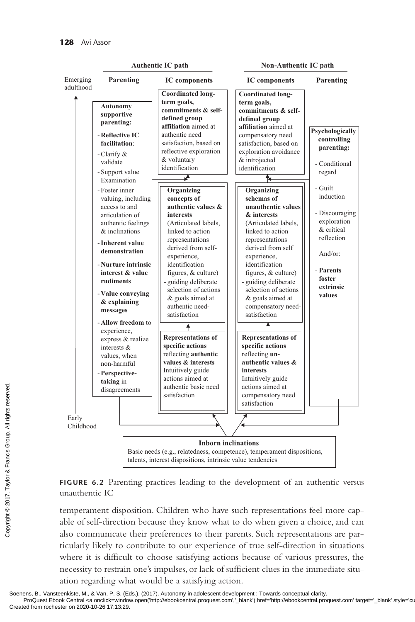

**FIGURE 6.2** Parenting practices leading to the development of an authentic versus unauthentic IC

temperament disposition. Children who have such representations feel more capable of self-direction because they know what to do when given a choice, and can also communicate their preferences to their parents. Such representations are particularly likely to contribute to our experience of true self-direction in situations where it is difficult to choose satisfying actions because of various pressures, the necessity to restrain one's impulses, or lack of sufficient clues in the immediate situation regarding what would be a satisfying action.

Soenens, B., Vansteenkiste, M., & Van, P. S. (Eds.). (2017). Autonomy in adolescent development : Towards conceptual clarity.<br>ProQuest Ebook Central <a onclick=window.open('http://ebookcentral.proquest.com','\_blank') href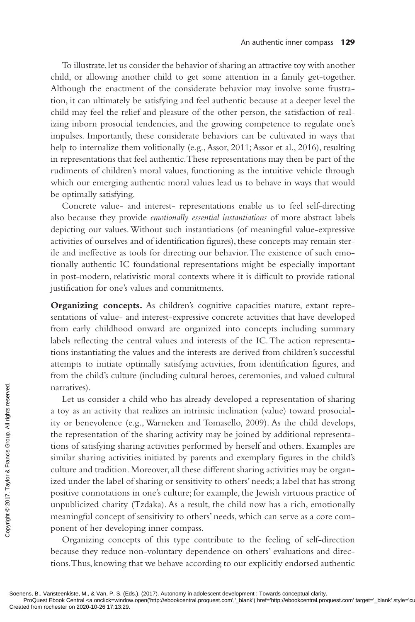To illustrate, let us consider the behavior of sharing an attractive toy with another child, or allowing another child to get some attention in a family get-together. Although the enactment of the considerate behavior may involve some frustration, it can ultimately be satisfying and feel authentic because at a deeper level the child may feel the relief and pleasure of the other person, the satisfaction of realizing inborn prosocial tendencies, and the growing competence to regulate one's impulses. Importantly, these considerate behaviors can be cultivated in ways that help to internalize them volitionally (e.g., Assor, 2011; Assor et al., 2016), resulting in representations that feel authentic. These representations may then be part of the rudiments of children's moral values, functioning as the intuitive vehicle through which our emerging authentic moral values lead us to behave in ways that would be optimally satisfying.

Concrete value- and interest- representations enable us to feel self-directing also because they provide *emotionally essential instantiations* of more abstract labels depicting our values. Without such instantiations (of meaningful value-expressive activities of ourselves and of identification figures), these concepts may remain sterile and ineffective as tools for directing our behavior. The existence of such emotionally authentic IC foundational representations might be especially important in post-modern, relativistic moral contexts where it is difficult to provide rational justification for one's values and commitments.

**Organizing concepts.** As children's cognitive capacities mature, extant representations of value- and interest-expressive concrete activities that have developed from early childhood onward are organized into concepts including summary labels reflecting the central values and interests of the IC. The action representations instantiating the values and the interests are derived from children's successful attempts to initiate optimally satisfying activities, from identification figures, and from the child's culture (including cultural heroes, ceremonies, and valued cultural narratives).

Let us consider a child who has already developed a representation of sharing a toy as an activity that realizes an intrinsic inclination (value) toward prosociality or benevolence (e.g., Warneken and Tomasello, 2009). As the child develops, the representation of the sharing activity may be joined by additional representations of satisfying sharing activities performed by herself and others. Examples are similar sharing activities initiated by parents and exemplary figures in the child's culture and tradition. Moreover, all these different sharing activities may be organized under the label of sharing or sensitivity to others' needs; a label that has strong positive connotations in one's culture; for example, the Jewish virtuous practice of unpublicized charity (Tzdaka). As a result, the child now has a rich, emotionally meaningful concept of sensitivity to others' needs, which can serve as a core component of her developing inner compass. Producest Ebook Central ca consider a consider a consider a consider a consider  $\frac{1}{2\pi}$  it y or benevolence (the representation of tions of satisfying share similar sharing activities culture and tradition. Ized under

Organizing concepts of this type contribute to the feeling of self-direction because they reduce non-voluntary dependence on others' evaluations and directions. Thus, knowing that we behave according to our explicitly endorsed authentic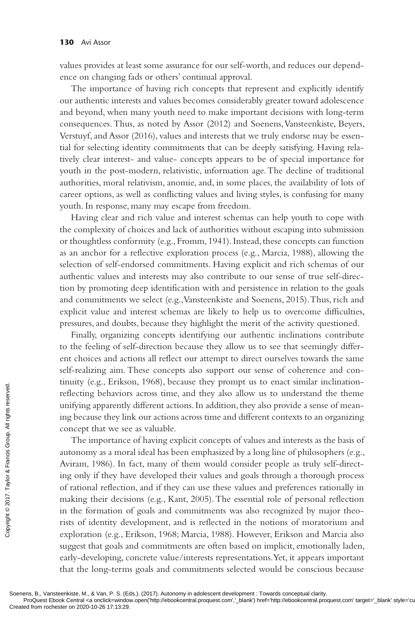values provides at least some assurance for our self-worth, and reduces our dependence on changing fads or others' continual approval.

The importance of having rich concepts that represent and explicitly identify our authentic interests and values becomes considerably greater toward adolescence and beyond, when many youth need to make important decisions with long-term consequences. Thus, as noted by Assor (2012) and Soenens, Vansteenkiste, Beyers, Verstuyf, and Assor (2016), values and interests that we truly endorse may be essential for selecting identity commitments that can be deeply satisfying. Having relatively clear interest- and value- concepts appears to be of special importance for youth in the post-modern, relativistic, information age. The decline of traditional authorities, moral relativism, anomie, and, in some places, the availability of lots of career options, as well as conflicting values and living styles, is confusing for many youth. In response, many may escape from freedom.

Having clear and rich value and interest schemas can help youth to cope with the complexity of choices and lack of authorities without escaping into submission or thoughtless conformity (e.g., Fromm, 1941). Instead, these concepts can function as an anchor for a reflective exploration process (e.g., Marcia, 1988), allowing the selection of self-endorsed commitments. Having explicit and rich schemas of our authentic values and interests may also contribute to our sense of true self-direction by promoting deep identification with and persistence in relation to the goals and commitments we select (e.g., Vansteenkiste and Soenens, 2015). Thus, rich and explicit value and interest schemas are likely to help us to overcome difficulties, pressures, and doubts, because they highlight the merit of the activity questioned.

Finally, organizing concepts identifying our authentic inclinations contribute to the feeling of self-direction because they allow us to see that seemingly different choices and actions all reflect our attempt to direct ourselves towards the same self-realizing aim. These concepts also support our sense of coherence and continuity (e.g., Erikson, 1968), because they prompt us to enact similar inclinationreflecting behaviors across time, and they also allow us to understand the theme unifying apparently different actions. In addition, they also provide a sense of meaning because they link our actions across time and different contexts to an organizing concept that we see as valuable.

The importance of having explicit concepts of values and interests as the basis of autonomy as a moral ideal has been emphasized by a long line of philosophers (e.g., Aviram, 1986). In fact, many of them would consider people as truly self-directing only if they have developed their values and goals through a thorough process of rational reflection, and if they can use these values and preferences rationally in making their decisions (e.g., Kant, 2005). The essential role of personal reflection in the formation of goals and commitments was also recognized by major theorists of identity development, and is reflected in the notions of moratorium and exploration (e.g., Erikson, 1968; Marcia, 1988). However, Erikson and Marcia also suggest that goals and commitments are often based on implicit, emotionally laden, early-developing, concrete value/interests representations. Yet, it appears important that the long-terms goals and commitments selected would be conscious because Example the concept that we see<br>
Fig. 1 concept that we see<br>
The importance<br>
autonomy as a mor<br>
Aviram, 1986). In 1<br>
ing only if they have<br>
of rational reflection<br>
making their decision<br>
in the formation of<br>
rists of ident

Soenens, B., Vansteenkiste, M., & Van, P. S. (Eds.). (2017). Autonomy in adolescent development : Towards conceptual clarity.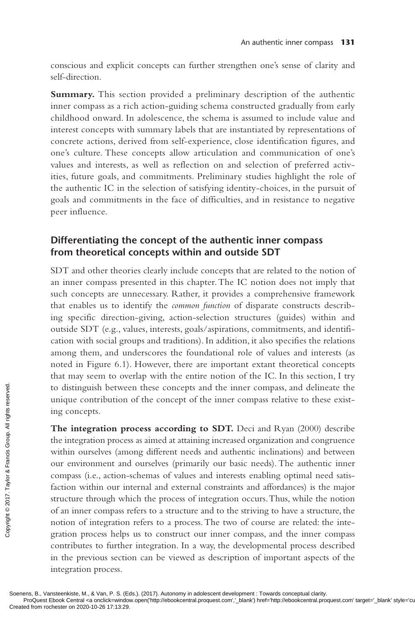conscious and explicit concepts can further strengthen one's sense of clarity and self-direction.

**Summary.** This section provided a preliminary description of the authentic inner compass as a rich action-guiding schema constructed gradually from early childhood onward. In adolescence, the schema is assumed to include value and interest concepts with summary labels that are instantiated by representations of concrete actions, derived from self-experience, close identification figures, and one's culture. These concepts allow articulation and communication of one's values and interests, as well as reflection on and selection of preferred activities, future goals, and commitments. Preliminary studies highlight the role of the authentic IC in the selection of satisfying identity-choices, in the pursuit of goals and commitments in the face of difficulties, and in resistance to negative peer influence.

# **Differentiating the concept of the authentic inner compass from theoretical concepts within and outside SDT**

SDT and other theories clearly include concepts that are related to the notion of an inner compass presented in this chapter. The IC notion does not imply that such concepts are unnecessary. Rather, it provides a comprehensive framework that enables us to identify the *common function* of disparate constructs describing specific direction-giving, action-selection structures (guides) within and outside SDT (e.g., values, interests, goals/aspirations, commitments, and identification with social groups and traditions). In addition, it also specifies the relations among them, and underscores the foundational role of values and interests (as noted in Figure 6.1). However, there are important extant theoretical concepts that may seem to overlap with the entire notion of the IC. In this section, I try to distinguish between these concepts and the inner compass, and delineate the unique contribution of the concept of the inner compass relative to these existing concepts.

**The integration process according to SDT.** Deci and Ryan (2000) describe the integration process as aimed at attaining increased organization and congruence within ourselves (among different needs and authentic inclinations) and between our environment and ourselves (primarily our basic needs). The authentic inner compass (i.e., action-schemas of values and interests enabling optimal need satisfaction within our internal and external constraints and affordances) is the major structure through which the process of integration occurs. Thus, while the notion of an inner compass refers to a structure and to the striving to have a structure, the notion of integration refers to a process. The two of course are related: the integration process helps us to construct our inner compass, and the inner compass contributes to further integration. In a way, the developmental process described in the previous section can be viewed as description of important aspects of the integration process. For the integration process<br>
External range concepts.<br>
The integration process<br>
within ourselves (amo<br>
our environment and<br>
compass (i.e., action-<br>
faction within our in<br>
structure through wh<br>
of an inner compass r<br>
notio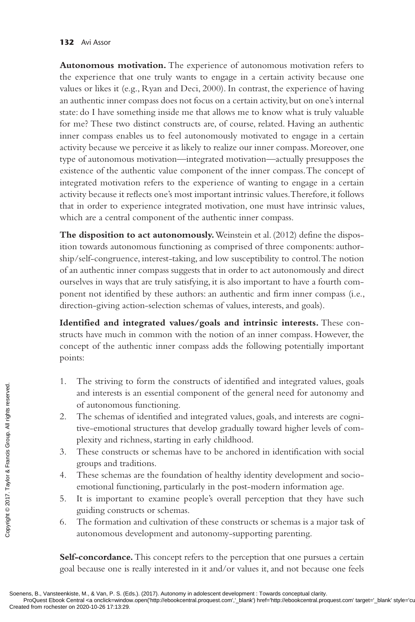#### **132** Avi Assor

**Autonomous motivation.** The experience of autonomous motivation refers to the experience that one truly wants to engage in a certain activity because one values or likes it (e.g., Ryan and Deci, 2000). In contrast, the experience of having an authentic inner compass does not focus on a certain activity, but on one's internal state: do I have something inside me that allows me to know what is truly valuable for me? These two distinct constructs are, of course, related. Having an authentic inner compass enables us to feel autonomously motivated to engage in a certain activity because we perceive it as likely to realize our inner compass. Moreover, one type of autonomous motivation—integrated motivation—actually presupposes the existence of the authentic value component of the inner compass. The concept of integrated motivation refers to the experience of wanting to engage in a certain activity because it reflects one's most important intrinsic values. Therefore, it follows that in order to experience integrated motivation, one must have intrinsic values, which are a central component of the authentic inner compass.

**The disposition to act autonomously.** Weinstein et al. (2012) define the disposition towards autonomous functioning as comprised of three components: authorship/self-congruence, interest-taking, and low susceptibility to control. The notion of an authentic inner compass suggests that in order to act autonomously and direct ourselves in ways that are truly satisfying, it is also important to have a fourth component not identified by these authors: an authentic and firm inner compass (i.e., direction-giving action-selection schemas of values, interests, and goals).

**Identified and integrated values/goals and intrinsic interests.** These constructs have much in common with the notion of an inner compass. However, the concept of the authentic inner compass adds the following potentially important points:

- 1. The striving to form the constructs of identified and integrated values, goals and interests is an essential component of the general need for autonomy and of autonomous functioning.
- 2. The schemas of identified and integrated values, goals, and interests are cognitive-emotional structures that develop gradually toward higher levels of complexity and richness, starting in early childhood. Example and interests is<br>
so and interests is<br>
of autonomou<br>  $2$ . The schemas c<br>
tive-emotional<br>
plexity and ric<br>  $\frac{1}{2}$  rights respective to the schemas<br>
groups and tra<br>  $\frac{1}{2}$  rights respective to the schemas<br>
emo
	- 3. These constructs or schemas have to be anchored in identification with social groups and traditions.
	- 4. These schemas are the foundation of healthy identity development and socioemotional functioning, particularly in the post-modern information age.
	- 5. It is important to examine people's overall perception that they have such guiding constructs or schemas.
	- 6. The formation and cultivation of these constructs or schemas is a major task of autonomous development and autonomy-supporting parenting.

**Self-concordance.** This concept refers to the perception that one pursues a certain goal because one is really interested in it and/or values it, and not because one feels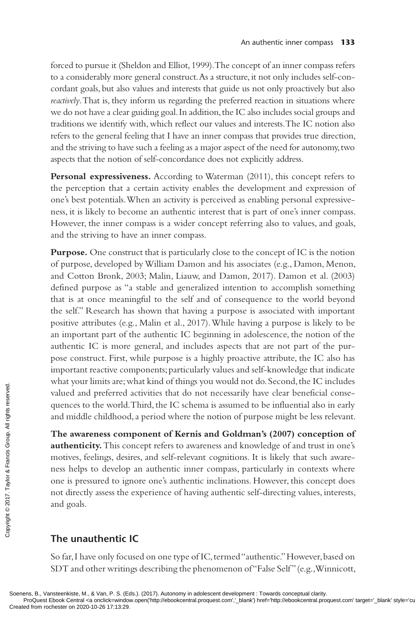forced to pursue it (Sheldon and Elliot, 1999). The concept of an inner compass refers to a considerably more general construct. As a structure, it not only includes self-concordant goals, but also values and interests that guide us not only proactively but also *reactively*. That is, they inform us regarding the preferred reaction in situations where we do not have a clear guiding goal. In addition, the IC also includes social groups and traditions we identify with, which reflect our values and interests. The IC notion also refers to the general feeling that I have an inner compass that provides true direction, and the striving to have such a feeling as a major aspect of the need for autonomy, two aspects that the notion of self-concordance does not explicitly address.

**Personal expressiveness.** According to Waterman (2011), this concept refers to the perception that a certain activity enables the development and expression of one's best potentials. When an activity is perceived as enabling personal expressiveness, it is likely to become an authentic interest that is part of one's inner compass. However, the inner compass is a wider concept referring also to values, and goals, and the striving to have an inner compass.

**Purpose.** One construct that is particularly close to the concept of IC is the notion of purpose, developed by William Damon and his associates (e.g., Damon, Menon, and Cotton Bronk, 2003; Malin, Liauw, and Damon, 2017). Damon et al. (2003) defined purpose as "a stable and generalized intention to accomplish something that is at once meaningful to the self and of consequence to the world beyond the self." Research has shown that having a purpose is associated with important positive attributes (e.g., Malin et al., 2017). While having a purpose is likely to be an important part of the authentic IC beginning in adolescence, the notion of the authentic IC is more general, and includes aspects that are not part of the purpose construct. First, while purpose is a highly proactive attribute, the IC also has important reactive components; particularly values and self-knowledge that indicate what your limits are; what kind of things you would not do. Second, the IC includes valued and preferred activities that do not necessarily have clear beneficial consequences to the world. Third, the IC schema is assumed to be influential also in early and middle childhood, a period where the notion of purpose might be less relevant.

**The awareness component of Kernis and Goldman's (2007) conception of authenticity.** This concept refers to awareness and knowledge of and trust in one's motives, feelings, desires, and self-relevant cognitions. It is likely that such awareness helps to develop an authentic inner compass, particularly in contexts where one is pressured to ignore one's authentic inclinations. However, this concept does not directly assess the experience of having authentic self-directing values, interests, and goals. Created from rochester on 2020-10-26 17:13:29.<br>Created from rochester on 2020-10-26 17:13:29.<br>Created from rochester on 2020-10-26 17:13:29.<br>Created from rochester on 2020-10-26 17:13:29.

## **The unauthentic IC**

So far, I have only focused on one type of IC, termed "authentic." However, based on SDT and other writings describing the phenomenon of "False Self" (e.g., Winnicott,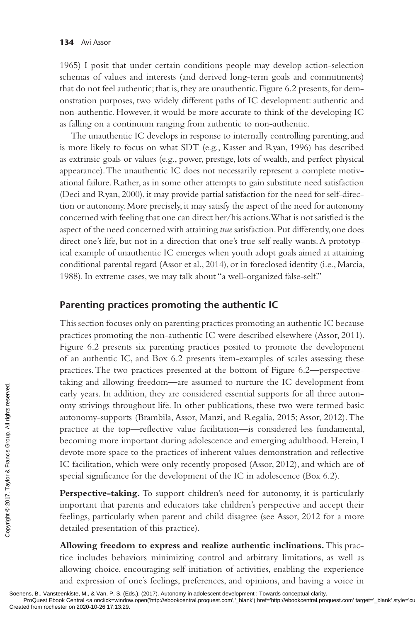1965) I posit that under certain conditions people may develop action-selection schemas of values and interests (and derived long-term goals and commitments) that do not feel authentic; that is, they are unauthentic. Figure 6.2 presents, for demonstration purposes, two widely different paths of IC development: authentic and non-authentic. However, it would be more accurate to think of the developing IC as falling on a continuum ranging from authentic to non-authentic.

The unauthentic IC develops in response to internally controlling parenting, and is more likely to focus on what SDT (e.g., Kasser and Ryan, 1996) has described as extrinsic goals or values (e.g., power, prestige, lots of wealth, and perfect physical appearance). The unauthentic IC does not necessarily represent a complete motivational failure. Rather, as in some other attempts to gain substitute need satisfaction (Deci and Ryan, 2000), it may provide partial satisfaction for the need for self-direction or autonomy. More precisely, it may satisfy the aspect of the need for autonomy concerned with feeling that one can direct her/his actions. What is not satisfied is the aspect of the need concerned with attaining *true* satisfaction. Put differently, one does direct one's life, but not in a direction that one's true self really wants. A prototypical example of unauthentic IC emerges when youth adopt goals aimed at attaining conditional parental regard (Assor et al., 2014), or in foreclosed identity (i.e., Marcia, 1988). In extreme cases, we may talk about "a well-organized false-self."

## **Parenting practices promoting the authentic IC**

This section focuses only on parenting practices promoting an authentic IC because practices promoting the non-authentic IC were described elsewhere (Assor, 2011). Figure 6.2 presents six parenting practices posited to promote the development of an authentic IC, and Box 6.2 presents item-examples of scales assessing these practices. The two practices presented at the bottom of Figure 6.2—perspectivetaking and allowing-freedom—are assumed to nurture the IC development from early years. In addition, they are considered essential supports for all three autonomy strivings throughout life. In other publications, these two were termed basic autonomy-supports (Brambila, Assor, Manzi, and Regalia, 2015; Assor, 2012). The practice at the top—reflective value facilitation—is considered less fundamental, becoming more important during adolescence and emerging adulthood. Herein, I devote more space to the practices of inherent values demonstration and reflective IC facilitation, which were only recently proposed (Assor, 2012), and which are of special significance for the development of the IC in adolescence (Box 6.2). Example and anowing<br>
early years. In addi<br>
omy strivings throu<br>
autonomy-support:<br>
practice at the top<br>
becoming more im<br>
devote more space<br>
IC facilitation, whi<br>
special significance<br> **Perspective-takin**<br>
important that

Perspective-taking. To support children's need for autonomy, it is particularly important that parents and educators take children's perspective and accept their feelings, particularly when parent and child disagree (see Assor, 2012 for a more detailed presentation of this practice).

**Allowing freedom to express and realize authentic inclinations.** This practice includes behaviors minimizing control and arbitrary limitations, as well as allowing choice, encouraging self-initiation of activities, enabling the experience and expression of one's feelings, preferences, and opinions, and having a voice in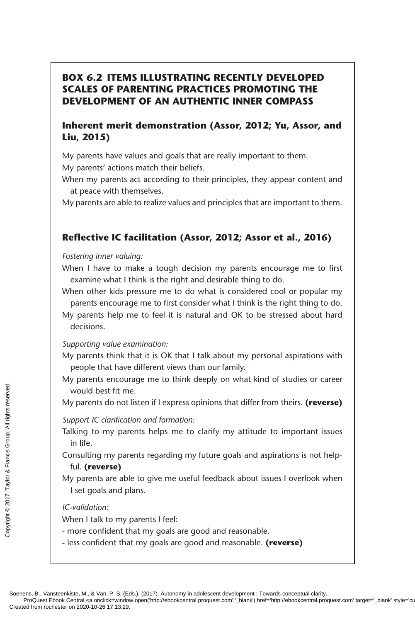# **BOX 6.2 ITEMS ILLUSTRATING RECENTLY DEVELOPED SCALES OF PARENTING PRACTICES PROMOTING THE DEVELOPMENT OF AN AUTHENTIC INNER COMPASS**

## **Inherent merit demonstration (Assor, 2012; Yu, Assor, and Liu, 2015)**

My parents have values and goals that are really important to them. My parents' actions match their beliefs.

When my parents act according to their principles, they appear content and at peace with themselves.

My parents are able to realize values and principles that are important to them.

#### **Reflective IC facilitation (Assor, 2012; Assor et al., 2016)**

#### *Fostering inner valuing:*

- When I have to make a tough decision my parents encourage me to first examine what I think is the right and desirable thing to do.
- When other kids pressure me to do what is considered cool or popular my parents encourage me to first consider what I think is the right thing to do.
- My parents help me to feel it is natural and OK to be stressed about hard decisions.

#### *Supporting value examination:*

- My parents think that it is OK that I talk about my personal aspirations with people that have different views than our family.
- My parents encourage me to think deeply on what kind of studies or career would best fit me.

My parents do not listen if I express opinions that differ from theirs. **(reverse)**

#### *Support IC clarification and formation:*

- Talking to my parents helps me to clarify my attitude to important issues in life.
- Consulting my parents regarding my future goals and aspirations is not helpful. **(reverse)**
- My parents are able to give me useful feedback about issues I overlook when I set goals and plans.

#### *IC-validation:*

When I talk to my parents I feel:

- more confident that my goals are good and reasonable.
- less confident that my goals are good and reasonable. **(reverse)**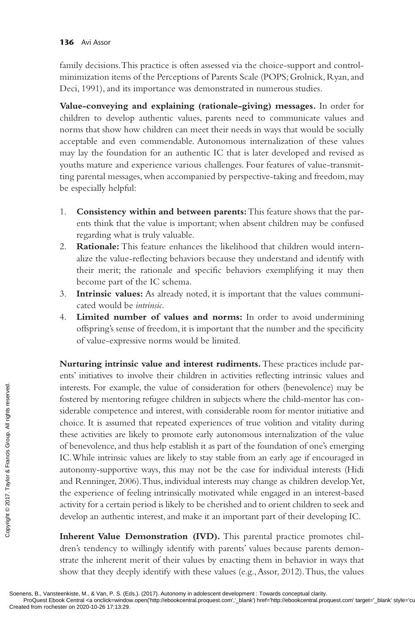family decisions. This practice is often assessed via the choice-support and controlminimization items of the Perceptions of Parents Scale (POPS; Grolnick, Ryan, and Deci, 1991), and its importance was demonstrated in numerous studies.

**Value-conveying and explaining (rationale-giving) messages.** In order for children to develop authentic values, parents need to communicate values and norms that show how children can meet their needs in ways that would be socially acceptable and even commendable. Autonomous internalization of these values may lay the foundation for an authentic IC that is later developed and revised as youths mature and experience various challenges. Four features of value-transmitting parental messages, when accompanied by perspective-taking and freedom, may be especially helpful:

- 1. **Consistency within and between parents:** This feature shows that the parents think that the value is important; when absent children may be confused regarding what is truly valuable.
- 2. **Rationale:** This feature enhances the likelihood that children would internalize the value-reflecting behaviors because they understand and identify with their merit; the rationale and specific behaviors exemplifying it may then become part of the IC schema.
- 3. **Intrinsic values:** As already noted, it is important that the values communicated would be *intrinsic*.
- 4. **Limited number of values and norms:** In order to avoid undermining offspring's sense of freedom, it is important that the number and the specificity of value-expressive norms would be limited.

**Nurturing intrinsic value and interest rudiments.** These practices include parents' initiatives to involve their children in activities reflecting intrinsic values and interests. For example, the value of consideration for others (benevolence) may be fostered by mentoring refugee children in subjects where the child-mentor has considerable competence and interest, with considerable room for mentor initiative and choice. It is assumed that repeated experiences of true volition and vitality during these activities are likely to promote early autonomous internalization of the value of benevolence, and thus help establish it as part of the foundation of one's emerging IC. While intrinsic values are likely to stay stable from an early age if encouraged in autonomy-supportive ways, this may not be the case for individual interests (Hidi and Renninger, 2006). Thus, individual interests may change as children develop. Yet, the experience of feeling intrinsically motivated while engaged in an interest-based activity for a certain period is likely to be cherished and to orient children to seek and develop an authentic interest, and make it an important part of their developing IC. The set of the contexts. For examples interests. For examples in the set of the context of the carriers are left of the computed and Reminger, 200 the experience of factivity for a certain develop an authential develop an

**Inherent Value Demonstration (IVD).** This parental practice promotes children's tendency to willingly identify with parents' values because parents demonstrate the inherent merit of their values by enacting them in behavior in ways that show that they deeply identify with these values (e.g., Assor, 2012). Thus, the values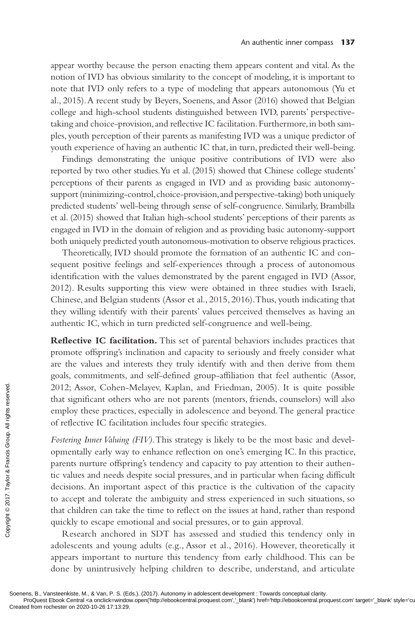appear worthy because the person enacting them appears content and vital. As the notion of IVD has obvious similarity to the concept of modeling, it is important to note that IVD only refers to a type of modeling that appears autonomous (Yu et al., 2015). A recent study by Beyers, Soenens, and Assor (2016) showed that Belgian college and high-school students distinguished between IVD, parents' perspectivetaking and choice-provision, and reflective IC facilitation. Furthermore, in both samples, youth perception of their parents as manifesting IVD was a unique predictor of youth experience of having an authentic IC that, in turn, predicted their well-being.

Findings demonstrating the unique positive contributions of IVD were also reported by two other studies. Yu et al. (2015) showed that Chinese college students' perceptions of their parents as engaged in IVD and as providing basic autonomysupport (minimizing-control, choice-provision, and perspective-taking) both uniquely predicted students' well-being through sense of self-congruence. Similarly, Brambilla et al. (2015) showed that Italian high-school students' perceptions of their parents as engaged in IVD in the domain of religion and as providing basic autonomy-support both uniquely predicted youth autonomous-motivation to observe religious practices.

Theoretically, IVD should promote the formation of an authentic IC and consequent positive feelings and self-experiences through a process of autonomous identification with the values demonstrated by the parent engaged in IVD (Assor, 2012). Results supporting this view were obtained in three studies with Israeli, Chinese, and Belgian students (Assor et al., 2015, 2016). Thus, youth indicating that they willing identify with their parents' values perceived themselves as having an authentic IC, which in turn predicted self-congruence and well-being.

**Reflective IC facilitation.** This set of parental behaviors includes practices that promote offspring's inclination and capacity to seriously and freely consider what are the values and interests they truly identify with and then derive from them goals, commitments, and self-defined group-affiliation that feel authentic (Assor, 2012; Assor, Cohen-Melayev, Kaplan, and Friedman, 2005). It is quite possible that significant others who are not parents (mentors, friends, counselors) will also employ these practices, especially in adolescence and beyond. The general practice of reflective IC facilitation includes four specific strategies.

*Fostering Inner Valuing (FIV)*. This strategy is likely to be the most basic and developmentally early way to enhance reflection on one's emerging IC. In this practice, parents nurture offspring's tendency and capacity to pay attention to their authentic values and needs despite social pressures, and in particular when facing difficult decisions. An important aspect of this practice is the cultivation of the capacity to accept and tolerate the ambiguity and stress experienced in such situations, so that children can take the time to reflect on the issues at hand, rather than respond quickly to escape emotional and social pressures, or to gain approval. 2012; Assor, Cohen-i<br>
that significant others<br>
employ these practice<br>
confidence of reflective IC facilit:<br>
Fostering Inner Valuing<br>
opmentally early way<br>
parents nurture offspr<br>
tic values and needs decisions. An import:

Research anchored in SDT has assessed and studied this tendency only in adolescents and young adults (e.g., Assor et al., 2016). However, theoretically it appears important to nurture this tendency from early childhood. This can be done by unintrusively helping children to describe, understand, and articulate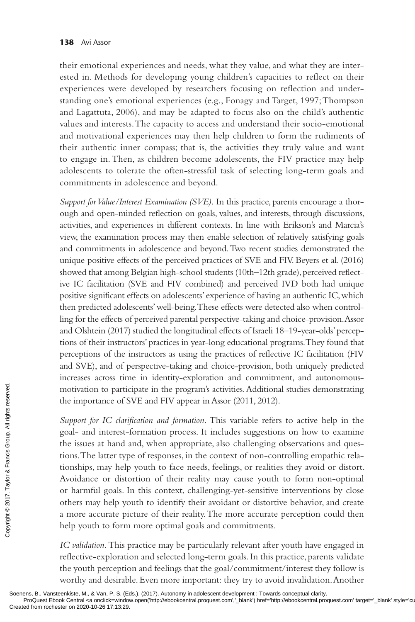their emotional experiences and needs, what they value, and what they are interested in. Methods for developing young children's capacities to reflect on their experiences were developed by researchers focusing on reflection and understanding one's emotional experiences (e.g., Fonagy and Target, 1997; Thompson and Lagattuta, 2006), and may be adapted to focus also on the child's authentic values and interests. The capacity to access and understand their socio-emotional and motivational experiences may then help children to form the rudiments of their authentic inner compass; that is, the activities they truly value and want to engage in. Then, as children become adolescents, the FIV practice may help adolescents to tolerate the often-stressful task of selecting long-term goals and commitments in adolescence and beyond.

*Support for Value/Interest Examination (SVE).* In this practice, parents encourage a thorough and open-minded reflection on goals, values, and interests, through discussions, activities, and experiences in different contexts. In line with Erikson's and Marcia's view, the examination process may then enable selection of relatively satisfying goals and commitments in adolescence and beyond. Two recent studies demonstrated the unique positive effects of the perceived practices of SVE and FIV. Beyers et al. (2016) showed that among Belgian high-school students (10th–12th grade), perceived reflective IC facilitation (SVE and FIV combined) and perceived IVD both had unique positive significant effects on adolescents' experience of having an authentic IC, which then predicted adolescents' well-being. These effects were detected also when controlling for the effects of perceived parental perspective-taking and choice-provision. Assor and Olshtein (2017) studied the longitudinal effects of Israeli 18–19-year-olds' perceptions of their instructors' practices in year-long educational programs. They found that perceptions of the instructors as using the practices of reflective IC facilitation (FIV and SVE), and of perspective-taking and choice-provision, both uniquely predicted increases across time in identity-exploration and commitment, and autonomousmotivation to participate in the program's activities. Additional studies demonstrating the importance of SVE and FIV appear in Assor (2011, 2012).

*Support for IC clarification and formation.* This variable refers to active help in the goal- and interest-formation process. It includes suggestions on how to examine the issues at hand and, when appropriate, also challenging observations and questions. The latter type of responses, in the context of non-controlling empathic relationships, may help youth to face needs, feelings, or realities they avoid or distort. Avoidance or distortion of their reality may cause youth to form non-optimal or harmful goals. In this context, challenging-yet-sensitive interventions by close others may help youth to identify their avoidant or distortive behavior, and create a more accurate picture of their reality. The more accurate perception could then help youth to form more optimal goals and commitments. Provided the importance of S<br>
Engaggrad – and interest-<br>
Support for IC clari<br>
goal- and interest-<br>
the issues at hand a<br>
tions. The latter typ<br>
tionships, may help<br>
Avoidance or dist<br>
or harmful goals. I<br>
others may help

*IC validation.* This practice may be particularly relevant after youth have engaged in reflective-exploration and selected long-term goals. In this practice, parents validate the youth perception and feelings that the goal/commitment/interest they follow is worthy and desirable. Even more important: they try to avoid invalidation. Another

Soenens, B., Vansteenkiste, M., & Van, P. S. (Eds.). (2017). Autonomy in adolescent development : Towards conceptual clarity.<br>ProQuest Ebook Central <a onclick=window.open('http://ebookcentral.proquest.com','\_blank') href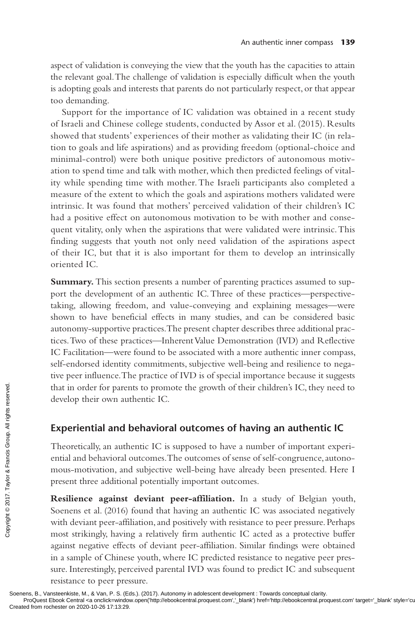aspect of validation is conveying the view that the youth has the capacities to attain the relevant goal. The challenge of validation is especially difficult when the youth is adopting goals and interests that parents do not particularly respect, or that appear too demanding.

Support for the importance of IC validation was obtained in a recent study of Israeli and Chinese college students, conducted by Assor et al. (2015). Results showed that students' experiences of their mother as validating their IC (in relation to goals and life aspirations) and as providing freedom (optional-choice and minimal-control) were both unique positive predictors of autonomous motivation to spend time and talk with mother, which then predicted feelings of vitality while spending time with mother. The Israeli participants also completed a measure of the extent to which the goals and aspirations mothers validated were intrinsic. It was found that mothers' perceived validation of their children's IC had a positive effect on autonomous motivation to be with mother and consequent vitality, only when the aspirations that were validated were intrinsic. This finding suggests that youth not only need validation of the aspirations aspect of their IC, but that it is also important for them to develop an intrinsically oriented IC.

**Summary.** This section presents a number of parenting practices assumed to support the development of an authentic IC. Three of these practices—perspectivetaking, allowing freedom, and value-conveying and explaining messages—were shown to have beneficial effects in many studies, and can be considered basic autonomy-supportive practices. The present chapter describes three additional practices. Two of these practices—Inherent Value Demonstration (IVD) and Reflective IC Facilitation—were found to be associated with a more authentic inner compass, self-endorsed identity commitments, subjective well-being and resilience to negative peer influence. The practice of IVD is of special importance because it suggests that in order for parents to promote the growth of their children's IC, they need to develop their own authentic IC.

## **Experiential and behavioral outcomes of having an authentic IC**

Theoretically, an authentic IC is supposed to have a number of important experiential and behavioral outcomes. The outcomes of sense of self-congruence, autonomous-motivation, and subjective well-being have already been presented. Here I present three additional potentially important outcomes.

**Resilience against deviant peer-affiliation.** In a study of Belgian youth, Soenens et al. (2016) found that having an authentic IC was associated negatively with deviant peer-affiliation, and positively with resistance to peer pressure. Perhaps most strikingly, having a relatively firm authentic IC acted as a protective buffer against negative effects of deviant peer-affiliation. Similar findings were obtained in a sample of Chinese youth, where IC predicted resistance to negative peer pressure. Interestingly, perceived parental IVD was found to predict IC and subsequent resistance to peer pressure. France of the state of the state of the state of the state of the state of the state of the state of the state of the state of the state of the state of the state of the state of the state of the state of the state of the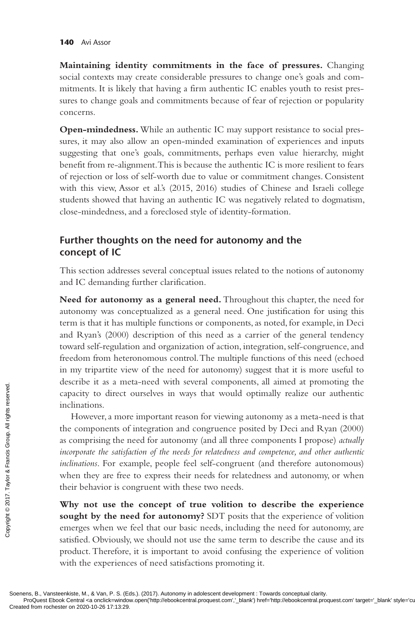**Maintaining identity commitments in the face of pressures.** Changing social contexts may create considerable pressures to change one's goals and commitments. It is likely that having a firm authentic IC enables youth to resist pressures to change goals and commitments because of fear of rejection or popularity concerns.

**Open-mindedness.** While an authentic IC may support resistance to social pressures, it may also allow an open-minded examination of experiences and inputs suggesting that one's goals, commitments, perhaps even value hierarchy, might benefit from re-alignment. This is because the authentic IC is more resilient to fears of rejection or loss of self-worth due to value or commitment changes. Consistent with this view, Assor et al.'s (2015, 2016) studies of Chinese and Israeli college students showed that having an authentic IC was negatively related to dogmatism, close-mindedness, and a foreclosed style of identity-formation.

# **Further thoughts on the need for autonomy and the concept of IC**

This section addresses several conceptual issues related to the notions of autonomy and IC demanding further clarification.

**Need for autonomy as a general need.** Throughout this chapter, the need for autonomy was conceptualized as a general need. One justification for using this term is that it has multiple functions or components, as noted, for example, in Deci and Ryan's (2000) description of this need as a carrier of the general tendency toward self-regulation and organization of action, integration, self-congruence, and freedom from heteronomous control. The multiple functions of this need (echoed in my tripartite view of the need for autonomy) suggest that it is more useful to describe it as a meta-need with several components, all aimed at promoting the capacity to direct ourselves in ways that would optimally realize our authentic inclinations.

However, a more important reason for viewing autonomy as a meta-need is that the components of integration and congruence posited by Deci and Ryan (2000) as comprising the need for autonomy (and all three components I propose) *actually incorporate the satisfaction of the needs for relatedness and competence, and other authentic inclinations*. For example, people feel self-congruent (and therefore autonomous) when they are free to express their needs for relatedness and autonomy, or when their behavior is congruent with these two needs. Example the components of<br>
Example the components of<br>
Example the components of<br>
as comprising the r<br> *incorporate the satisfic*<br> *inclinations*. For example the *satisfica*<br> **Why not use the sought by the ne<br>
samely the n** 

**Why not use the concept of true volition to describe the experience sought by the need for autonomy?** SDT posits that the experience of volition emerges when we feel that our basic needs, including the need for autonomy, are satisfied. Obviously, we should not use the same term to describe the cause and its product. Therefore, it is important to avoid confusing the experience of volition with the experiences of need satisfactions promoting it.

Soenens, B., Vansteenkiste, M., & Van, P. S. (Eds.). (2017). Autonomy in adolescent development : Towards conceptual clarity.<br>ProQuest Ebook Central <a onclick=window.open('http://ebookcentral.proquest.com','\_blank') href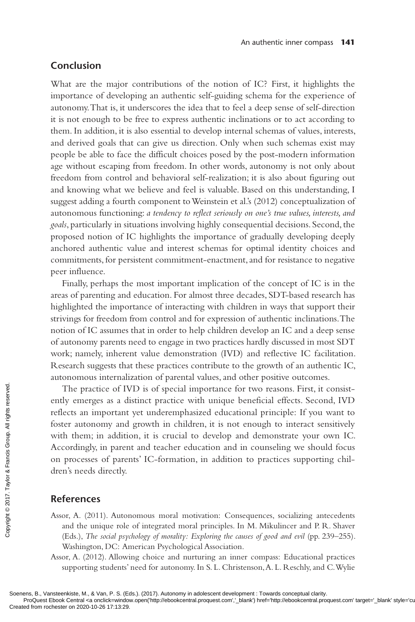#### **Conclusion**

What are the major contributions of the notion of IC? First, it highlights the importance of developing an authentic self-guiding schema for the experience of autonomy. That is, it underscores the idea that to feel a deep sense of self-direction it is not enough to be free to express authentic inclinations or to act according to them. In addition, it is also essential to develop internal schemas of values, interests, and derived goals that can give us direction. Only when such schemas exist may people be able to face the difficult choices posed by the post-modern information age without escaping from freedom. In other words, autonomy is not only about freedom from control and behavioral self-realization; it is also about figuring out and knowing what we believe and feel is valuable. Based on this understanding, I suggest adding a fourth component to Weinstein et al.'s (2012) conceptualization of autonomous functioning: *a tendency to reflect seriously on one's true values, interests, and goals*, particularly in situations involving highly consequential decisions. Second, the proposed notion of IC highlights the importance of gradually developing deeply anchored authentic value and interest schemas for optimal identity choices and commitments, for persistent commitment-enactment, and for resistance to negative peer influence.

Finally, perhaps the most important implication of the concept of IC is in the areas of parenting and education. For almost three decades, SDT-based research has highlighted the importance of interacting with children in ways that support their strivings for freedom from control and for expression of authentic inclinations. The notion of IC assumes that in order to help children develop an IC and a deep sense of autonomy parents need to engage in two practices hardly discussed in most SDT work; namely, inherent value demonstration (IVD) and reflective IC facilitation. Research suggests that these practices contribute to the growth of an authentic IC, autonomous internalization of parental values, and other positive outcomes.

The practice of IVD is of special importance for two reasons. First, it consistently emerges as a distinct practice with unique beneficial effects. Second, IVD reflects an important yet underemphasized educational principle: If you want to foster autonomy and growth in children, it is not enough to interact sensitively with them; in addition, it is crucial to develop and demonstrate your own IC. Accordingly, in parent and teacher education and in counseling we should focus on processes of parents' IC-formation, in addition to practices supporting children's needs directly. The practice of IV<br>
ently emerges as a di<br>
reflects an important<br>
foster autonomy and<br>
with them; in addition<br>  $\frac{25}{100}$ <br>
on processes of paren<br>
on processes of paren<br>
dren's needs directly.<br> **References**<br>
Assor, A. (2

#### **References**

- Assor, A. (2011). Autonomous moral motivation: Consequences, socializing antecedents and the unique role of integrated moral principles. In M. Mikulincer and P. R. Shaver (Eds.), *The social psychology of morality: Exploring the causes of good and evil* (pp. 239–255). Washington, DC: American Psychological Association.
- Assor, A. (2012). Allowing choice and nurturing an inner compass: Educational practices supporting students' need for autonomy. In S. L. Christenson, A. L. Reschly, and C. Wylie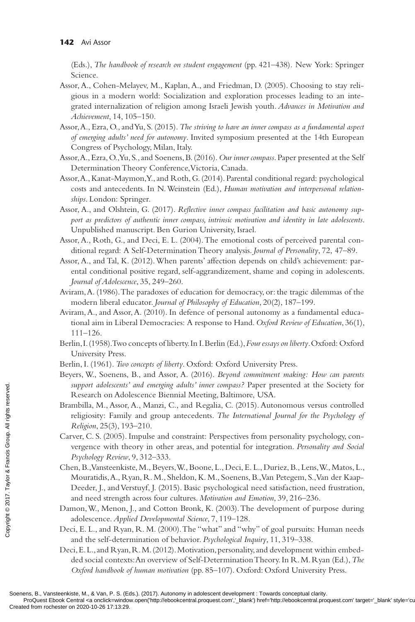(Eds.), *The handbook of research on student engagement* (pp. 421–438)*.* New York: Springer Science.

- Assor, A., Cohen-Melayev, M., Kaplan, A., and Friedman, D. (2005). Choosing to stay religious in a modern world: Socialization and exploration processes leading to an integrated internalization of religion among Israeli Jewish youth*. Advances in Motivation and Achievement*, 14, 105–150*.*
- Assor, A., Ezra, O., and Yu, S. (2015). *The striving to have an inner compass as a fundamental aspect of emerging adults' need for autonomy*. Invited symposium presented at the 14th European Congress of Psychology, Milan, Italy.
- Assor, A., Ezra, O., Yu, S., and Soenens, B. (2016). *Our inner compass*. Paper presented at the Self Determination Theory Conference, Victoria, Canada.
- Assor, A., Kanat-Maymon, Y., and Roth, G. (2014). Parental conditional regard: psychological costs and antecedents. In N. Weinstein (Ed.), *Human motivation and interpersonal relationships*. London: Springer.
- Assor, A., and Olshtein, G. (2017). *Reflective inner compass facilitation and basic autonomy support as predictors of authentic inner compass, intrinsic motivation and identity in late adolescents*. Unpublished manuscript. Ben Gurion University, Israel.
- Assor, A., Roth, G., and Deci, E. L. (2004). The emotional costs of perceived parental conditional regard: A Self-Determination Theory analysis. *Journal of Personality*, 72, 47–89.
- Assor, A., and Tal, K. (2012). When parents' affection depends on child's achievement: parental conditional positive regard, self-aggrandizement, shame and coping in adolescents. *Journal of Adolescence*, 35, 249–260.
- Aviram, A. (1986). The paradoxes of education for democracy, or: the tragic dilemmas of the modern liberal educator. *Journal of Philosophy of Education*, 20(2), 187–199.
- Aviram, A., and Assor, A. (2010). In defence of personal autonomy as a fundamental educational aim in Liberal Democracies: A response to Hand. *Oxford Review of Education*, 36(1), 111–126.
- Berlin, I. (1958). Two concepts of liberty. In I. Berlin (Ed.), *Four essays on liberty*. Oxford: Oxford University Press.
- Berlin, I. (1961). *Two concepts of liberty*. Oxford: Oxford University Press.
- Beyers, W., Soenens, B., and Assor, A. (2016). *Beyond commitment making: How can parents support adolescents' and emerging adults' inner compass?* Paper presented at the Society for Research on Adolescence Biennial Meeting, Baltimore, USA.
- Brambilla, M., Assor, A., Manzi, C., and Regalia, C. (2015). Autonomous versus controlled religiosity: Family and group antecedents. *The International Journal for the Psychology of Religion*, 25(3), 193–210.
- Carver, C. S. (2005). Impulse and constraint: Perspectives from personality psychology, convergence with theory in other areas, and potential for integration. *Personality and Social Psychology Review*, 9, 312–333.
- Chen, B., Vansteenkiste, M., Beyers, W., Boone, L., Deci, E. L., Duriez, B., Lens, W., Matos, L., Mouratidis, A., Ryan, R. M., Sheldon, K. M., Soenens, B., Van Petegem, S., Van der Kaap-Deeder, J., and Verstuyf, J. (2015). Basic psychological need satisfaction, need frustration, and need strength across four cultures. *Motivation and Emotion*, 39, 216–236. Example 10. All Research on Adolescents<br>
Research on Adol<br>
Brambilla, M., Assor,<br>
religiosity: Family<br>
Religion, 25(3), 19.<br>
Carver, C. S. (2005). I<br>
vergence with the<br> *Psychology Review,*<br>
Chen, B., Vansteenkiss<br>
Mourat
	- Damon, W., Menon, J., and Cotton Bronk, K. (2003). The development of purpose during adolescence. *Applied Developmental Science*, 7, 119–128.
	- Deci, E. L., and Ryan, R. M. (2000). The "what" and "why" of goal pursuits: Human needs and the self-determination of behavior. *Psychological Inquiry*, 11, 319–338.
	- Deci, E. L., and Ryan, R. M. (2012). Motivation, personality, and development within embedded social contexts: An overview of Self-Determination Theory. In R. M. Ryan (Ed.), *The Oxford handbook of human motivation* (pp. 85–107). Oxford: Oxford University Press.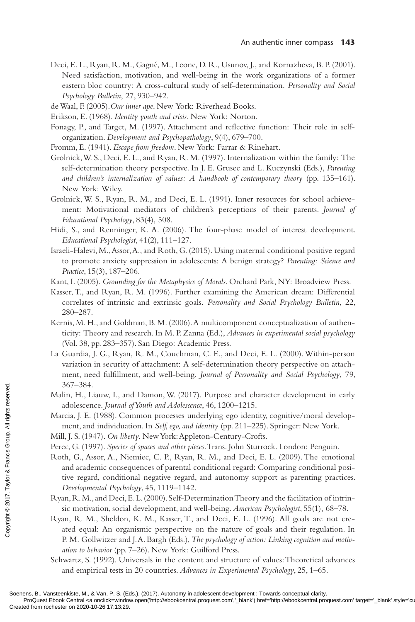- Deci, E. L., Ryan, R. M., Gagné, M., Leone, D. R., Usunov, J., and Kornazheva, B. P. (2001). Need satisfaction, motivation, and well-being in the work organizations of a former eastern bloc country: A cross-cultural study of self-determination. *Personality and Social Psychology Bulletin*, 27, 930–942.
- de Waal, F. (2005).*Our inner ape*. New York: Riverhead Books.
- Erikson, E. (1968). *Identity youth and crisis*. New York: Norton.
- Fonagy, P., and Target, M. (1997). Attachment and reflective function: Their role in selforganization. *Development and Psychopathology*, 9(4), 679–700.
- Fromm, E. (1941). *Escape from freedom*. New York: Farrar & Rinehart.
- Grolnick, W. S., Deci, E. L., and Ryan, R. M. (1997). Internalization within the family: The self-determination theory perspective. In J. E. Grusec and L. Kuczynski (Eds.), *Parenting and children's internalization of values: A handbook of contemporary theory* (pp. 135–161). New York: Wiley.
- Grolnick, W. S., Ryan, R. M., and Deci, E. L. (1991). Inner resources for school achievement: Motivational mediators of children's perceptions of their parents. *Journal of Educational Psychology*, 83(4), 508.
- Hidi, S., and Renninger, K. A. (2006). The four-phase model of interest development. *Educational Psychologist*, 41(2), 111–127.
- Israeli-Halevi, M., Assor, A., and Roth, G. (2015). Using maternal conditional positive regard to promote anxiety suppression in adolescents: A benign strategy? *Parenting: Science and Practice*, 15(3), 187–206.
- Kant, I. (2005). *Grounding for the Metaphysics of Morals*. Orchard Park, NY: Broadview Press.
- Kasser, T., and Ryan, R. M. (1996). Further examining the American dream: Differential correlates of intrinsic and extrinsic goals*. Personality and Social Psychology Bulletin*, 22, 280–287.
- Kernis, M. H., and Goldman, B. M. (2006). A multicomponent conceptualization of authenticity: Theory and research. In M. P. Zanna (Ed.), *Advances in experimental social psychology* (Vol. 38, pp. 283–357). San Diego: Academic Press.
- La Guardia, J. G., Ryan, R. M., Couchman, C. E., and Deci, E. L. (2000). Within-person variation in security of attachment: A self-determination theory perspective on attachment, need fulfillment, and well-being. *Journal of Personality and Social Psychology*, 79, 367–384.
- Malin, H., Liauw, I., and Damon, W. (2017). Purpose and character development in early adolescence. *Journal of Youth and Adolescence*, 46, 1200–1215.
- Marcia, J. E. (1988). Common processes underlying ego identity, cognitive/moral development, and individuation. In *Self, ego, and identity* (pp. 211–225). Springer: New York.
- Mill, J. S. (1947). *On liberty*. New York: Appleton-Century-Crofts.
- Perec, G. (1997). *Species of spaces and other pieces*. Trans. John Sturrock. London: Penguin.
- Roth, G., Assor, A., Niemiec, C. P., Ryan, R. M., and Deci, E. L. (2009). The emotional and academic consequences of parental conditional regard: Comparing conditional positive regard, conditional negative regard, and autonomy support as parenting practices. *Developmental Psychology*, 45, 1119–1142. Created from rochester on 2020-10-26 17:13:29<br>
Separates From rock Points respective to Francis Group and individual<br>
Detector of Creating Mill, J. S. (1947). *On libe*<br>
Perec, G. (1997). *Species*<br>
Roth, G., Assor, A.,
	- Ryan, R. M., and Deci, E. L. (2000). Self-Determination Theory and the facilitation of intrinsic motivation, social development, and well-being. *American Psychologist*, 55(1), 68–78.
	- Ryan, R. M., Sheldon, K. M., Kasser, T., and Deci, E. L. (1996). All goals are not created equal: An organismic perspective on the nature of goals and their regulation. In P. M. Gollwitzer and J. A. Bargh (Eds.), *The psychology of action: Linking cognition and motivation to behavior* (pp. 7–26). New York: Guilford Press.
	- Schwartz, S. (1992). Universals in the content and structure of values: Theoretical advances and empirical tests in 20 countries. *Advances in Experimental Psychology*, 25, 1–65.